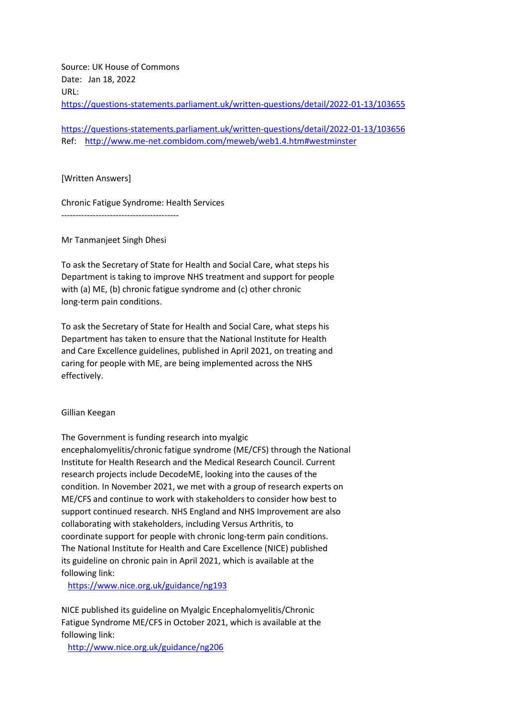Source: UK House of Commons Date: Jan 18, 2022 URL: <https://questions-statements.parliament.uk/written-questions/detail/2022-01-13/103655>

<https://questions-statements.parliament.uk/written-questions/detail/2022-01-13/103656> Ref: <http://www.me-net.combidom.com/meweb/web1.4.htm#westminster>

[Written Answers]

Chronic Fatigue Syndrome: Health Services

Mr Tanmanjeet Singh Dhesi

-----------------------------------------

To ask the Secretary of State for Health and Social Care, what steps his Department is taking to improve NHS treatment and support for people with (a) ME, (b) chronic fatigue syndrome and (c) other chronic long-term pain conditions.

To ask the Secretary of State for Health and Social Care, what steps his Department has taken to ensure that the National Institute for Health and Care Excellence guidelines, published in April 2021, on treating and caring for people with ME, are being implemented across the NHS effectively.

Gillian Keegan

The Government is funding research into myalgic encephalomyelitis/chronic fatigue syndrome (ME/CFS) through the National Institute for Health Research and the Medical Research Council. Current research projects include DecodeME, looking into the causes of the condition. In November 2021, we met with a group of research experts on ME/CFS and continue to work with stakeholders to consider how best to support continued research. NHS England and NHS Improvement are also collaborating with stakeholders, including Versus Arthritis, to coordinate support for people with chronic long-term pain conditions. The National Institute for Health and Care Excellence (NICE) published its guideline on chronic pain in April 2021, which is available at the following link:

<https://www.nice.org.uk/guidance/ng193>

NICE published its guideline on Myalgic Encephalomyelitis/Chronic Fatigue Syndrome ME/CFS in October 2021, which is available at the following link:

<http://www.nice.org.uk/guidance/ng206>